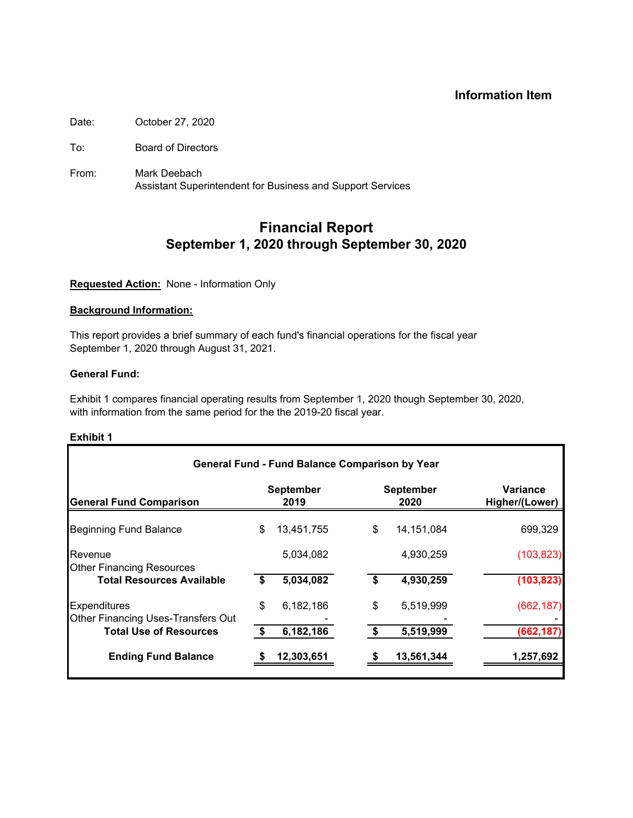# **Information Item**

Date: October 27, 2020

To: Board of Directors

From: Mark Deebach Assistant Superintendent for Business and Support Services

# **Financial Report September 1, 2020 through September 30, 2020**

## **Requested Action:** None - Information Only

## **Background Information:**

This report provides a brief summary of each fund's financial operations for the fiscal year September 1, 2020 through August 31, 2021.

## **General Fund:**

Exhibit 1 compares financial operating results from September 1, 2020 though September 30, 2020, with information from the same period for the the 2019-20 fiscal year.

| <b>General Fund Comparison</b>                            |    | <b>September</b><br>2019 | <b>September</b><br>2020 | Variance<br>Higher/(Lower) |
|-----------------------------------------------------------|----|--------------------------|--------------------------|----------------------------|
| <b>Beginning Fund Balance</b>                             | \$ | 13,451,755               | \$<br>14, 151, 084       | 699,329                    |
| Revenue<br><b>Other Financing Resources</b>               |    | 5,034,082                | 4,930,259                | (103, 823)                 |
| <b>Total Resources Available</b>                          | S  | 5,034,082                | \$<br>4,930,259          | (103, 823)                 |
| <b>Expenditures</b><br>Other Financing Uses-Transfers Out | \$ | 6,182,186                | \$<br>5,519,999          | (662, 187)                 |
| <b>Total Use of Resources</b>                             |    | 6,182,186                | 5,519,999                | (662, 187)                 |
| <b>Ending Fund Balance</b>                                |    | 12,303,651               | 13,561,344               | 1,257,692                  |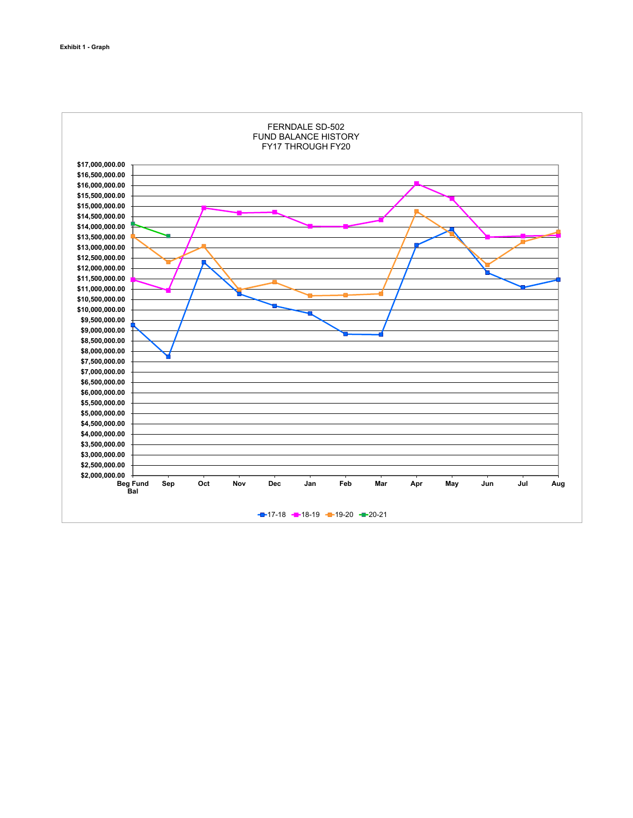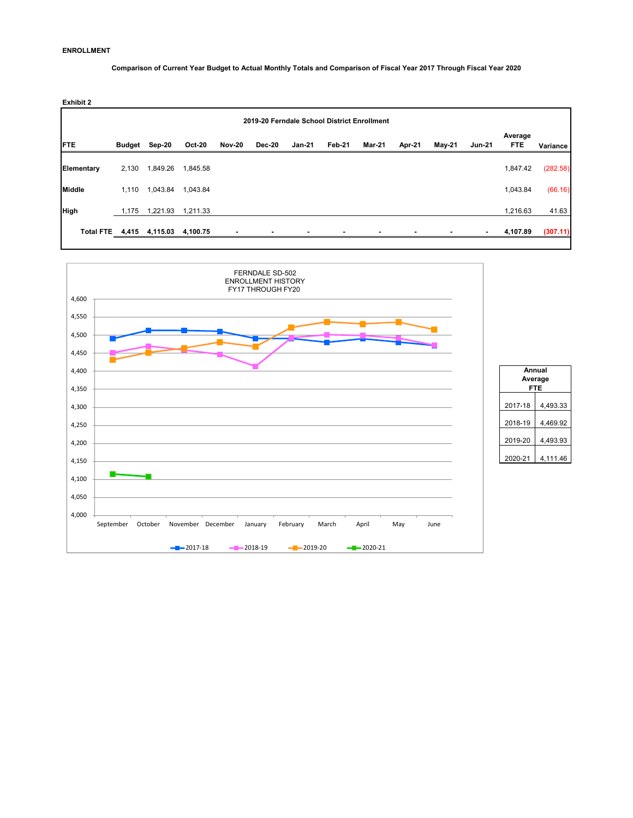### **ENROLLMENT**

**Comparison of Current Year Budget to Actual Monthly Totals and Comparison of Fiscal Year 2017 Through Fiscal Year 2020** 

| Exhibit 2     |        |                          |               |               |        |        |                                             |        |        |               |        |                       |          |
|---------------|--------|--------------------------|---------------|---------------|--------|--------|---------------------------------------------|--------|--------|---------------|--------|-----------------------|----------|
|               |        |                          |               |               |        |        | 2019-20 Ferndale School District Enrollment |        |        |               |        |                       |          |
| <b>FTE</b>    | Budget | Sep-20                   | <b>Oct-20</b> | <b>Nov-20</b> | Dec-20 | Jan-21 | Feb-21                                      | Mar-21 | Apr-21 | <b>May-21</b> | Jun-21 | Average<br><b>FTE</b> | Variance |
| Elementary    | 2,130  | 1,849.26                 | 1,845.58      |               |        |        |                                             |        |        |               |        | 1,847.42              | (282.58) |
| <b>Middle</b> | 1.110  | 1,043.84                 | 1,043.84      |               |        |        |                                             |        |        |               |        | 1,043.84              | (66.16)  |
| High          | 1,175  | 1,221.93                 | 1,211.33      |               |        |        |                                             |        |        |               |        | 1,216.63              | 41.63    |
|               |        | Total FTE 4,415 4,115.03 | 4,100.75      |               |        |        |                                             |        |        |               | ۰      | 4,107.89              | (307.11) |
|               |        |                          |               |               |        |        |                                             |        |        |               |        |                       |          |



| Annuai  | Average<br>FTE |
|---------|----------------|
| 2017-18 | 4.493.33       |
| 2018-19 | 4,469.92       |
| 2019-20 | 4,493.93       |
| 2020-21 | 4.111.46       |
|         |                |

٦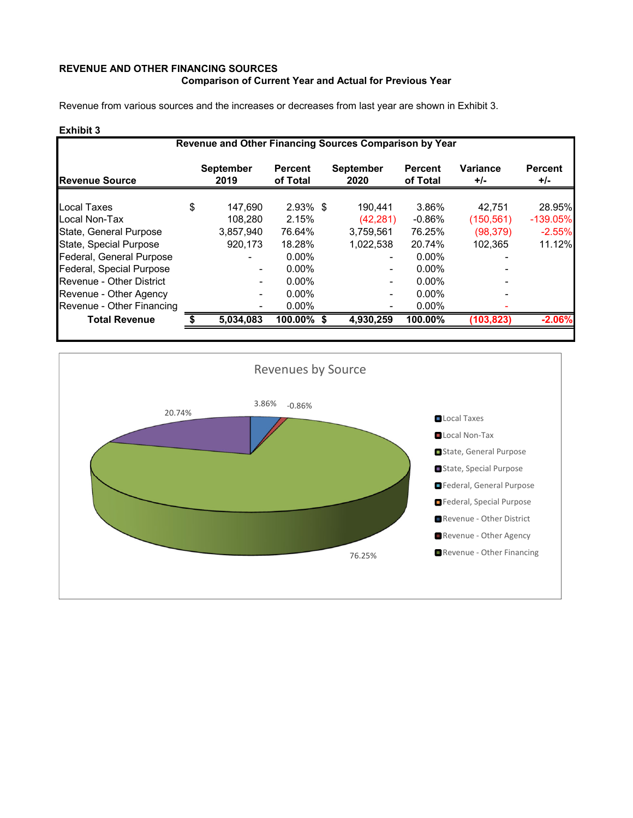# **REVENUE AND OTHER FINANCING SOURCES Comparison of Current Year and Actual for Previous Year**

Revenue from various sources and the increases or decreases from last year are shown in Exhibit 3.

|                           | Revenue and Other Financing Sources Comparison by Year |                          |                            |  |                          |                            |                          |                         |  |  |  |  |  |  |
|---------------------------|--------------------------------------------------------|--------------------------|----------------------------|--|--------------------------|----------------------------|--------------------------|-------------------------|--|--|--|--|--|--|
| <b>Revenue Source</b>     |                                                        | <b>September</b><br>2019 | <b>Percent</b><br>of Total |  | <b>September</b><br>2020 | <b>Percent</b><br>of Total | <b>Variance</b><br>$+/-$ | <b>Percent</b><br>$+/-$ |  |  |  |  |  |  |
| Local Taxes               | \$                                                     | 147.690                  | $2.93\%$ \$                |  | 190.441                  | 3.86%                      | 42,751                   | 28.95%                  |  |  |  |  |  |  |
| Local Non-Tax             |                                                        | 108.280                  | 2.15%                      |  | (42, 281)                | $-0.86\%$                  | (150, 561)               | $-139.05%$              |  |  |  |  |  |  |
| State, General Purpose    |                                                        | 3,857,940                | 76.64%                     |  | 3.759.561                | 76.25%                     | (98, 379)                | $-2.55%$                |  |  |  |  |  |  |
| State, Special Purpose    |                                                        | 920,173                  | 18.28%                     |  | 1,022,538                | 20.74%                     | 102.365                  | 11.12%                  |  |  |  |  |  |  |
| Federal, General Purpose  |                                                        |                          | $0.00\%$                   |  |                          | $0.00\%$                   |                          |                         |  |  |  |  |  |  |
| Federal, Special Purpose  |                                                        | $\blacksquare$           | $0.00\%$                   |  |                          | $0.00\%$                   |                          |                         |  |  |  |  |  |  |
| Revenue - Other District  |                                                        | $\blacksquare$           | $0.00\%$                   |  |                          | $0.00\%$                   |                          |                         |  |  |  |  |  |  |
| Revenue - Other Agency    |                                                        | ٠                        | $0.00\%$                   |  |                          | $0.00\%$                   |                          |                         |  |  |  |  |  |  |
| Revenue - Other Financing |                                                        |                          | $0.00\%$                   |  |                          | $0.00\%$                   |                          |                         |  |  |  |  |  |  |
| <b>Total Revenue</b>      |                                                        | 5,034,083                | 100.00% \$                 |  | 4,930,259                | $100.00\%$                 | (103, 823)               | $-2.06%$                |  |  |  |  |  |  |
|                           |                                                        |                          |                            |  |                          |                            |                          |                         |  |  |  |  |  |  |

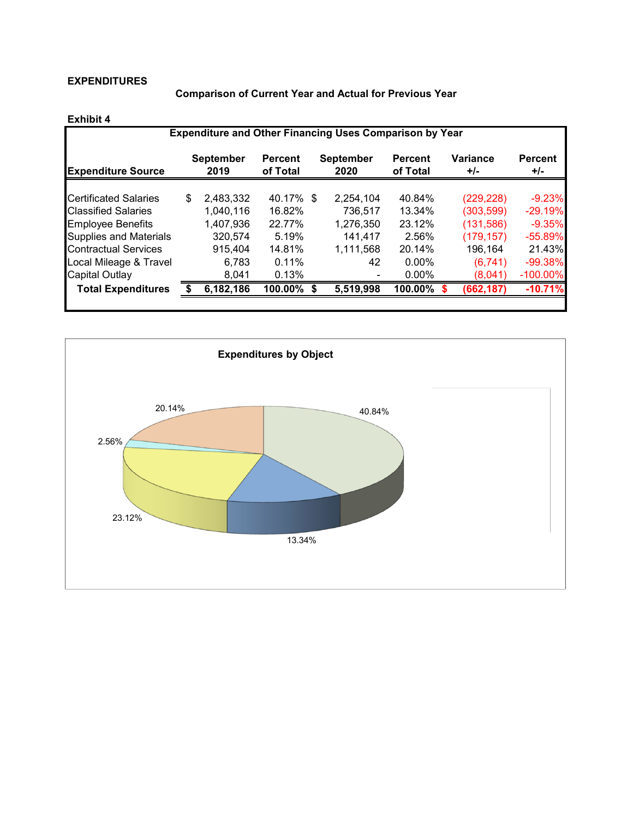## **EXPENDITURES**

**Comparison of Current Year and Actual for Previous Year** 

| <b>Expenditure and Other Financing Uses Comparison by Year</b> |    |                          |                            |  |                          |                            |  |                   |                         |  |  |  |  |
|----------------------------------------------------------------|----|--------------------------|----------------------------|--|--------------------------|----------------------------|--|-------------------|-------------------------|--|--|--|--|
| <b>Expenditure Source</b>                                      |    | <b>September</b><br>2019 | <b>Percent</b><br>of Total |  | <b>September</b><br>2020 | <b>Percent</b><br>of Total |  | Variance<br>$+/-$ | <b>Percent</b><br>$+/-$ |  |  |  |  |
| <b>Certificated Salaries</b>                                   | \$ | 2,483,332                | 40.17% \$                  |  | 2.254.104                | 40.84%                     |  | (229, 228)        | $-9.23%$                |  |  |  |  |
| <b>Classified Salaries</b>                                     |    | 1,040,116                | 16.82%                     |  | 736,517                  | 13.34%                     |  | (303, 599)        | $-29.19%$               |  |  |  |  |
| <b>Employee Benefits</b>                                       |    | 1,407,936                | 22.77%                     |  | 1,276,350                | 23.12%                     |  | (131,586)         | $-9.35%$                |  |  |  |  |
| <b>Supplies and Materials</b>                                  |    | 320,574                  | 5.19%                      |  | 141,417                  | 2.56%                      |  | (179, 157)        | $-55.89%$               |  |  |  |  |
| <b>Contractual Services</b>                                    |    | 915,404                  | 14.81%                     |  | 1,111,568                | 20.14%                     |  | 196,164           | 21.43%                  |  |  |  |  |
| Local Mileage & Travel                                         |    | 6.783                    | 0.11%                      |  | 42                       | $0.00\%$                   |  | (6.741)           | $-99.38%$               |  |  |  |  |
| Capital Outlay                                                 |    | 8,041                    | 0.13%                      |  |                          | $0.00\%$                   |  | (8,041)           | $-100.00\%$             |  |  |  |  |
| <b>Total Expenditures</b>                                      |    | 6,182,186                | $100.00\%$                 |  | 5,519,998                | 100.00%                    |  | (662, 187)        | $-10.71%$               |  |  |  |  |
|                                                                |    |                          |                            |  |                          |                            |  |                   |                         |  |  |  |  |

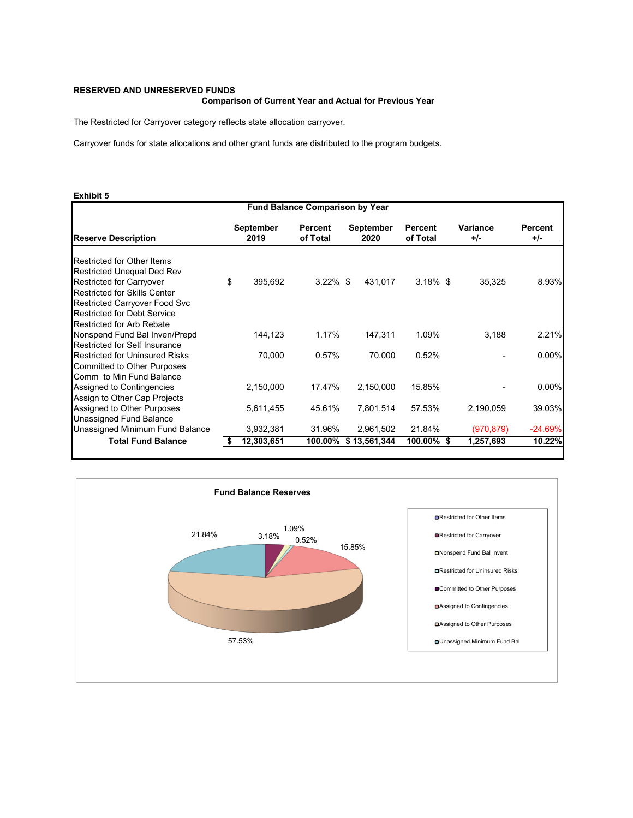### **RESERVED AND UNRESERVED FUNDS**

### **Comparison of Current Year and Actual for Previous Year**

The Restricted for Carryover category reflects state allocation carryover.

Carryover funds for state allocations and other grant funds are distributed to the program budgets.

| <b>Fund Balance Comparison by Year</b> |    |                   |                     |  |                      |                            |                 |                       |  |  |  |
|----------------------------------------|----|-------------------|---------------------|--|----------------------|----------------------------|-----------------|-----------------------|--|--|--|
| <b>Reserve Description</b>             |    | September<br>2019 | Percent<br>of Total |  | September<br>2020    | <b>Percent</b><br>of Total | Variance<br>+/- | <b>Percent</b><br>+/- |  |  |  |
| <b>Restricted for Other Items</b>      |    |                   |                     |  |                      |                            |                 |                       |  |  |  |
| <b>Restricted Unequal Ded Rev</b>      |    |                   |                     |  |                      |                            |                 |                       |  |  |  |
| <b>Restricted for Carryover</b>        | \$ | 395,692           | $3.22\%$ \$         |  | 431,017              | $3.18\%$ \$                | 35,325          | 8.93%                 |  |  |  |
| <b>Restricted for Skills Center</b>    |    |                   |                     |  |                      |                            |                 |                       |  |  |  |
| Restricted Carryover Food Svc          |    |                   |                     |  |                      |                            |                 |                       |  |  |  |
| <b>Restricted for Debt Service</b>     |    |                   |                     |  |                      |                            |                 |                       |  |  |  |
| <b>Restricted for Arb Rebate</b>       |    |                   |                     |  |                      |                            |                 |                       |  |  |  |
| Nonspend Fund Bal Inven/Prepd          |    | 144,123           | 1.17%               |  | 147,311              | 1.09%                      | 3,188           | 2.21%                 |  |  |  |
| <b>Restricted for Self Insurance</b>   |    |                   |                     |  |                      |                            |                 |                       |  |  |  |
| <b>Restricted for Uninsured Risks</b>  |    | 70,000            | 0.57%               |  | 70,000               | 0.52%                      |                 | $0.00\%$              |  |  |  |
| <b>Committed to Other Purposes</b>     |    |                   |                     |  |                      |                            |                 |                       |  |  |  |
| Comm to Min Fund Balance               |    |                   |                     |  |                      |                            |                 |                       |  |  |  |
| Assigned to Contingencies              |    | 2,150,000         | 17.47%              |  | 2,150,000            | 15.85%                     |                 | $0.00\%$              |  |  |  |
| Assign to Other Cap Projects           |    |                   |                     |  |                      |                            |                 |                       |  |  |  |
| Assigned to Other Purposes             |    | 5,611,455         | 45.61%              |  | 7,801,514            | 57.53%                     | 2,190,059       | 39.03%                |  |  |  |
| Unassigned Fund Balance                |    |                   |                     |  |                      |                            |                 |                       |  |  |  |
| Unassigned Minimum Fund Balance        |    | 3,932,381         | 31.96%              |  | 2,961,502            | 21.84%                     | (970, 879)      | $-24.69%$             |  |  |  |
| <b>Total Fund Balance</b>              | 5  | 12,303,651        |                     |  | 100.00% \$13,561,344 | 100.00%                    | 1,257,693       | 10.22%                |  |  |  |

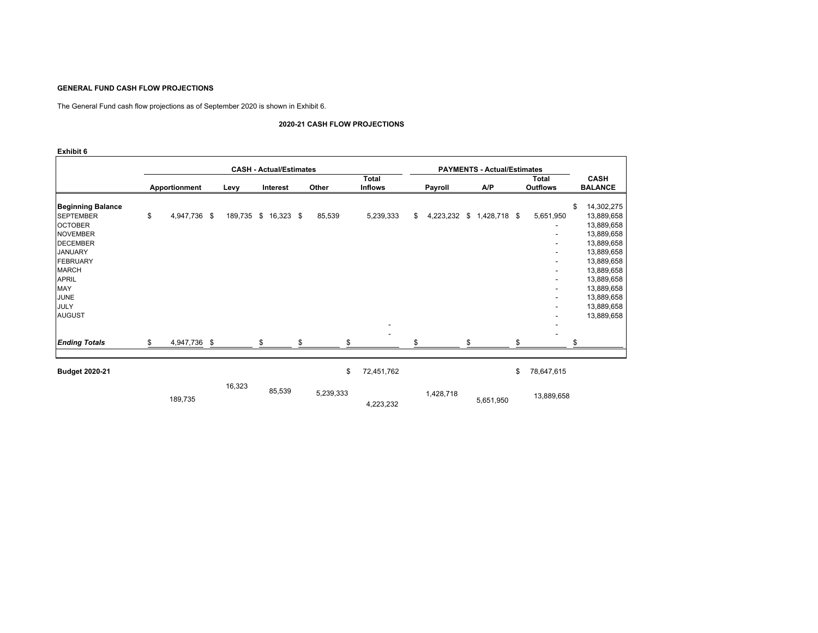#### **GENERAL FUND CASH FLOW PROJECTIONS**

The General Fund cash flow projections as of September 2020 is shown in Exhibit 6.

#### **2020-21 CASH FLOW PROJECTIONS**

|                                                                                                                                                                                                                          |                    |            | <b>CASH - Actual/Estimates</b> |   |        |                                |         |   | <b>PAYMENTS - Actual/Estimates</b> |                                             |                                                                                                                                                                                          |
|--------------------------------------------------------------------------------------------------------------------------------------------------------------------------------------------------------------------------|--------------------|------------|--------------------------------|---|--------|--------------------------------|---------|---|------------------------------------|---------------------------------------------|------------------------------------------------------------------------------------------------------------------------------------------------------------------------------------------|
|                                                                                                                                                                                                                          | Apportionment      | Levy       | Interest                       |   | Other  | <b>Total</b><br><b>Inflows</b> | Payroll |   | A/P                                | Total<br><b>Outflows</b>                    | <b>CASH</b><br><b>BALANCE</b>                                                                                                                                                            |
| <b>Beginning Balance</b><br><b>SEPTEMBER</b><br><b>OCTOBER</b><br><b>NOVEMBER</b><br><b>DECEMBER</b><br><b>JANUARY</b><br><b>FEBRUARY</b><br><b>MARCH</b><br><b>APRIL</b><br>MAY<br><b>JUNE</b><br>JULY<br><b>AUGUST</b> | \$<br>4,947,736 \$ | 189,735 \$ | 16,323 \$                      |   | 85,539 | 5,239,333                      | \$      |   | 4,223,232 \$ 1,428,718 \$          | 5,651,950<br>۰.<br>$\overline{\phantom{a}}$ | \$<br>14,302,275<br>13,889,658<br>13,889,658<br>13,889,658<br>13,889,658<br>13,889,658<br>13,889,658<br>13,889,658<br>13,889,658<br>13,889,658<br>13,889,658<br>13,889,658<br>13,889,658 |
| <b>Ending Totals</b>                                                                                                                                                                                                     | \$<br>4,947,736 \$ |            |                                | ፍ |        |                                |         | ¢ |                                    |                                             | \$                                                                                                                                                                                       |
| <b>Budget 2020-21</b>                                                                                                                                                                                                    |                    |            |                                |   |        | \$<br>72,451,762               |         |   |                                    | \$<br>78,647,615                            |                                                                                                                                                                                          |

| .v.v-l i |        |        | $\mathbf{u}$ | 1 <b>4, 7 0 1, 1 0 4</b> |           |           | $\mathbf{u}$ | 10,071,010 |
|----------|--------|--------|--------------|--------------------------|-----------|-----------|--------------|------------|
| 189,735  | 16,323 | 85,539 | 5,239,333    | 4,223,232                | 1,428,718 | 5,651,950 |              | 13,889,658 |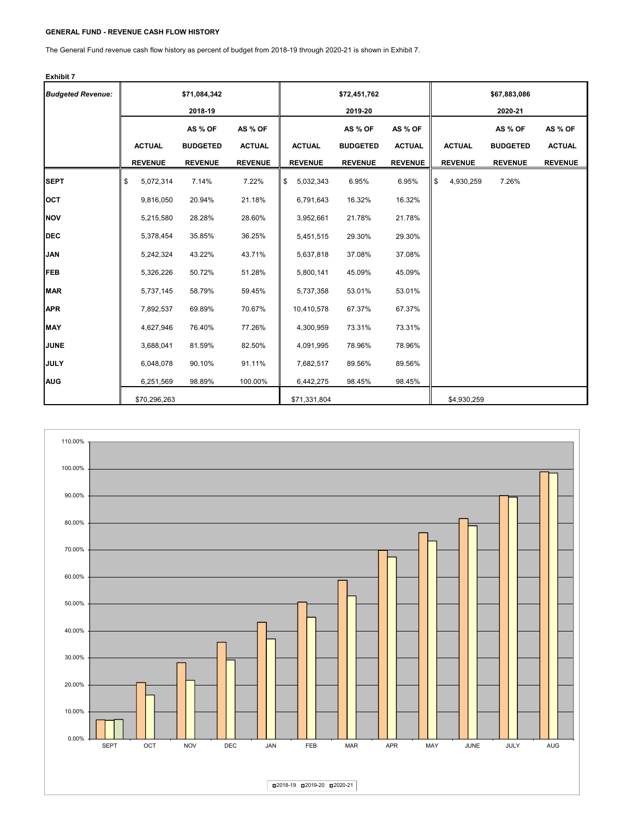### **GENERAL FUND - REVENUE CASH FLOW HISTORY**

The General Fund revenue cash flow history as percent of budget from 2018-19 through 2020-21 is shown in Exhibit 7.

| <b>Budgeted Revenue:</b> |                 | \$71,084,342<br>2018-19 |                |                 | \$72,451,762<br>2019-20 |                | \$67,883,086<br>2020-21 |                |                 |                |
|--------------------------|-----------------|-------------------------|----------------|-----------------|-------------------------|----------------|-------------------------|----------------|-----------------|----------------|
|                          |                 | AS % OF                 | AS % OF        |                 | AS % OF                 | AS % OF        |                         |                | AS % OF         | AS % OF        |
|                          | <b>ACTUAL</b>   | <b>BUDGETED</b>         | <b>ACTUAL</b>  | <b>ACTUAL</b>   | <b>BUDGETED</b>         | <b>ACTUAL</b>  |                         | <b>ACTUAL</b>  | <b>BUDGETED</b> | <b>ACTUAL</b>  |
|                          | <b>REVENUE</b>  | <b>REVENUE</b>          | <b>REVENUE</b> | <b>REVENUE</b>  | <b>REVENUE</b>          | <b>REVENUE</b> |                         | <b>REVENUE</b> | <b>REVENUE</b>  | <b>REVENUE</b> |
| <b>SEPT</b>              | \$<br>5,072,314 | 7.14%                   | 7.22%          | \$<br>5,032,343 | 6.95%                   | 6.95%          | \$                      | 4,930,259      | 7.26%           |                |
| <b>OCT</b>               | 9,816,050       | 20.94%                  | 21.18%         | 6,791,643       | 16.32%                  | 16.32%         |                         |                |                 |                |
| <b>NOV</b>               | 5,215,580       | 28.28%                  | 28.60%         | 3,952,661       | 21.78%                  | 21.78%         |                         |                |                 |                |
| <b>DEC</b>               | 5,378,454       | 35.85%                  | 36.25%         | 5,451,515       | 29.30%                  | 29.30%         |                         |                |                 |                |
| <b>JAN</b>               | 5,242,324       | 43.22%                  | 43.71%         | 5,637,818       | 37.08%                  | 37.08%         |                         |                |                 |                |
| <b>FEB</b>               | 5,326,226       | 50.72%                  | 51.28%         | 5,800,141       | 45.09%                  | 45.09%         |                         |                |                 |                |
| <b>MAR</b>               | 5,737,145       | 58.79%                  | 59.45%         | 5,737,358       | 53.01%                  | 53.01%         |                         |                |                 |                |
| <b>APR</b>               | 7,892,537       | 69.89%                  | 70.67%         | 10,410,578      | 67.37%                  | 67.37%         |                         |                |                 |                |
| <b>MAY</b>               | 4,627,946       | 76.40%                  | 77.26%         | 4,300,959       | 73.31%                  | 73.31%         |                         |                |                 |                |
| <b>JUNE</b>              | 3,688,041       | 81.59%                  | 82.50%         | 4,091,995       | 78.96%                  | 78.96%         |                         |                |                 |                |
| <b>JULY</b>              | 6,048,078       | 90.10%                  | 91.11%         | 7,682,517       | 89.56%                  | 89.56%         |                         |                |                 |                |
| <b>AUG</b>               | 6,251,569       | 98.89%                  | 100.00%        | 6,442,275       | 98.45%                  | 98.45%         |                         |                |                 |                |
|                          | \$70,296,263    |                         |                | \$71,331,804    |                         |                |                         | \$4,930,259    |                 |                |

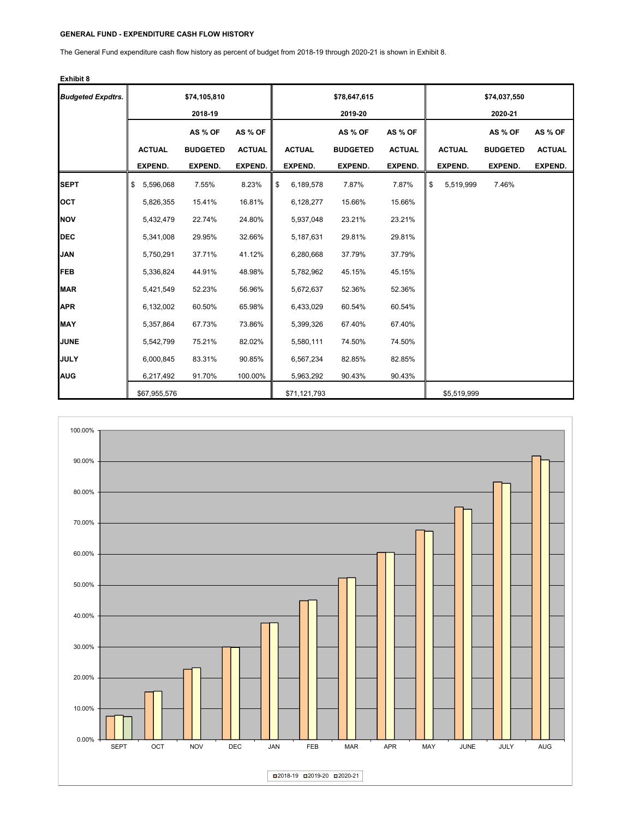## **GENERAL FUND - EXPENDITURE CASH FLOW HISTORY**

The General Fund expenditure cash flow history as percent of budget from 2018-19 through 2020-21 is shown in Exhibit 8.

| <b>Budgeted Expdtrs.</b> |                 | \$74,105,810    |               |                 | \$78,647,615    |                |                 | \$74,037,550    |                |
|--------------------------|-----------------|-----------------|---------------|-----------------|-----------------|----------------|-----------------|-----------------|----------------|
|                          |                 | 2018-19         |               |                 | 2019-20         |                |                 | 2020-21         |                |
|                          |                 | AS % OF         | AS % OF       |                 | AS % OF         | AS % OF        |                 | AS % OF         | AS % OF        |
|                          | <b>ACTUAL</b>   | <b>BUDGETED</b> | <b>ACTUAL</b> | <b>ACTUAL</b>   | <b>BUDGETED</b> | <b>ACTUAL</b>  | <b>ACTUAL</b>   | <b>BUDGETED</b> | <b>ACTUAL</b>  |
|                          | <b>EXPEND.</b>  | EXPEND.         | EXPEND.       | <b>EXPEND.</b>  | EXPEND.         | <b>EXPEND.</b> | <b>EXPEND.</b>  | <b>EXPEND.</b>  | <b>EXPEND.</b> |
| <b>SEPT</b>              | 5,596,068<br>\$ | 7.55%           | 8.23%         | \$<br>6,189,578 | 7.87%           | 7.87%          | \$<br>5,519,999 | 7.46%           |                |
| <b>OCT</b>               | 5,826,355       | 15.41%          | 16.81%        | 6,128,277       | 15.66%          | 15.66%         |                 |                 |                |
| <b>NOV</b>               | 5,432,479       | 22.74%          | 24.80%        | 5,937,048       | 23.21%          | 23.21%         |                 |                 |                |
| <b>IDEC</b>              | 5,341,008       | 29.95%          | 32.66%        | 5,187,631       | 29.81%          | 29.81%         |                 |                 |                |
| JAN                      | 5,750,291       | 37.71%          | 41.12%        | 6,280,668       | 37.79%          | 37.79%         |                 |                 |                |
| <b>FEB</b>               | 5,336,824       | 44.91%          | 48.98%        | 5,782,962       | 45.15%          | 45.15%         |                 |                 |                |
| <b>MAR</b>               | 5,421,549       | 52.23%          | 56.96%        | 5,672,637       | 52.36%          | 52.36%         |                 |                 |                |
| <b>APR</b>               | 6,132,002       | 60.50%          | 65.98%        | 6,433,029       | 60.54%          | 60.54%         |                 |                 |                |
| <b>MAY</b>               | 5,357,864       | 67.73%          | 73.86%        | 5,399,326       | 67.40%          | 67.40%         |                 |                 |                |
| <b>JUNE</b>              | 5,542,799       | 75.21%          | 82.02%        | 5,580,111       | 74.50%          | 74.50%         |                 |                 |                |
| <b>JULY</b>              | 6,000,845       | 83.31%          | 90.85%        | 6,567,234       | 82.85%          | 82.85%         |                 |                 |                |
| <b>AUG</b>               | 6,217,492       | 91.70%          | 100.00%       | 5,963,292       | 90.43%          | 90.43%         |                 |                 |                |
|                          | \$67,955,576    |                 |               | \$71,121,793    |                 |                | \$5,519,999     |                 |                |

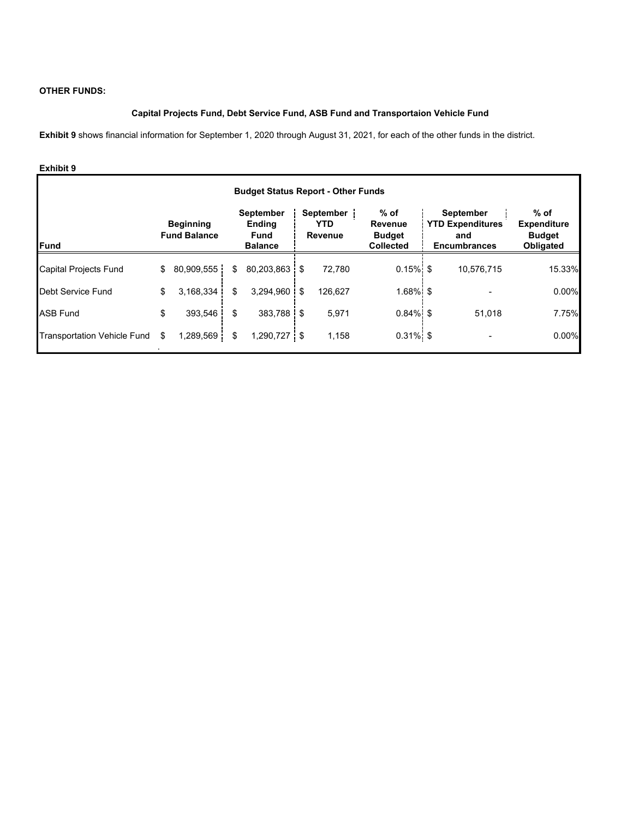## **OTHER FUNDS:**

## **Capital Projects Fund, Debt Service Fund, ASB Fund and Transportaion Vehicle Fund**

**Exhibit 9** shows financial information for September 1, 2020 through August 31, 2021, for each of the other funds in the district.

| <b>Budget Status Report - Other Funds</b> |    |                                         |    |                                                                    |  |                                           |                                                             |  |                                                                           |                                                            |  |  |  |  |
|-------------------------------------------|----|-----------------------------------------|----|--------------------------------------------------------------------|--|-------------------------------------------|-------------------------------------------------------------|--|---------------------------------------------------------------------------|------------------------------------------------------------|--|--|--|--|
| Fund                                      |    | <b>Beginning</b><br><b>Fund Balance</b> |    | <b>September</b><br><b>Ending</b><br><b>Fund</b><br><b>Balance</b> |  | September<br><b>YTD</b><br><b>Revenue</b> | % of<br><b>Revenue</b><br><b>Budget</b><br><b>Collected</b> |  | <b>September</b><br><b>YTD Expenditures</b><br>and<br><b>Encumbrances</b> | $%$ of<br><b>Expenditure</b><br><b>Budget</b><br>Obligated |  |  |  |  |
| Capital Projects Fund                     | \$ | 80,909,555                              | \$ | 80,203,863 \$                                                      |  | 72,780                                    | $0.15\%$ \$                                                 |  | 10,576,715                                                                | 15.33%                                                     |  |  |  |  |
| Debt Service Fund                         | \$ | 3.168.334                               | \$ | $3,294,960$ \$                                                     |  | 126.627                                   | $1.68\%$ \$                                                 |  |                                                                           | 0.00%                                                      |  |  |  |  |
| <b>ASB Fund</b>                           | \$ | 393,546                                 | \$ | 383.788 \$                                                         |  | 5,971                                     | $0.84\%$ \$                                                 |  | 51.018                                                                    | 7.75%                                                      |  |  |  |  |
| <b>Transportation Vehicle Fund</b>        | \$ | 1,289,569                               | \$ | 1,290,727 \$                                                       |  | 1,158                                     | $0.31\%$ \$                                                 |  |                                                                           | 0.00%                                                      |  |  |  |  |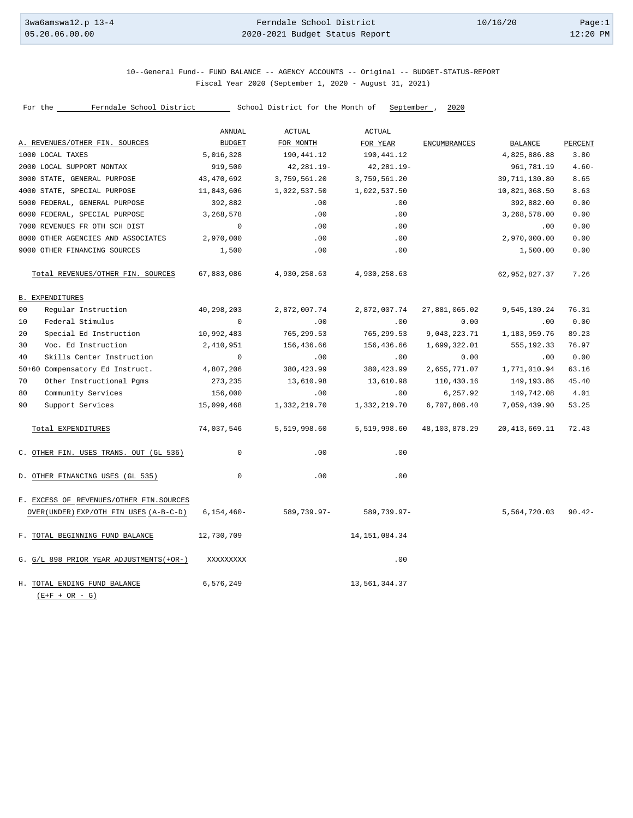### 10--General Fund-- FUND BALANCE -- AGENCY ACCOUNTS -- Original -- BUDGET-STATUS-REPORT Fiscal Year 2020 (September 1, 2020 - August 31, 2021)

|                                                  | ANNUAL        | <b>ACTUAL</b>  | <b>ACTUAL</b>    |                     |                     |          |
|--------------------------------------------------|---------------|----------------|------------------|---------------------|---------------------|----------|
| A. REVENUES/OTHER FIN. SOURCES                   | <b>BUDGET</b> | FOR MONTH      | FOR YEAR         | <b>ENCUMBRANCES</b> | BALANCE             | PERCENT  |
| 1000 LOCAL TAXES                                 | 5,016,328     | 190,441.12     | 190,441.12       |                     | 4,825,886.88        | 3.80     |
| 2000 LOCAL SUPPORT NONTAX                        | 919,500       | $42, 281.19 -$ | $42, 281.19 -$   |                     | 961,781.19          | $4.60 -$ |
| 3000 STATE, GENERAL PURPOSE                      | 43,470,692    | 3,759,561.20   | 3,759,561.20     |                     | 39,711,130.80       | 8.65     |
| 4000 STATE, SPECIAL PURPOSE                      | 11,843,606    | 1,022,537.50   | 1,022,537.50     |                     | 10,821,068.50       | 8.63     |
| 5000 FEDERAL, GENERAL PURPOSE                    | 392,882       | .00            | .00              |                     | 392,882.00          | 0.00     |
| 6000 FEDERAL, SPECIAL PURPOSE                    | 3,268,578     | .00            | .00              |                     | 3,268,578.00        | 0.00     |
| 7000 REVENUES FR OTH SCH DIST                    | $\Omega$      | .00            | .00              |                     | .00                 | 0.00     |
| 8000 OTHER AGENCIES AND ASSOCIATES               | 2,970,000     | .00            | .00              |                     | 2,970,000.00        | 0.00     |
| 9000 OTHER FINANCING SOURCES                     | 1,500         | .00            | .00              |                     | 1,500.00            | 0.00     |
| Total REVENUES/OTHER FIN. SOURCES                | 67,883,086    | 4,930,258.63   | 4,930,258.63     |                     | 62,952,827.37       | 7.26     |
| <b>B. EXPENDITURES</b>                           |               |                |                  |                     |                     |          |
| Regular Instruction<br>00                        | 40,298,203    | 2,872,007.74   | 2,872,007.74     | 27,881,065.02       | 9,545,130.24        | 76.31    |
| Federal Stimulus<br>10                           | $\mathbf 0$   | .00            | .00              | 0.00                | .00                 | 0.00     |
| 20<br>Special Ed Instruction                     | 10,992,483    | 765,299.53     | 765, 299.53      | 9,043,223.71        | 1, 183, 959. 76     | 89.23    |
| Voc. Ed Instruction<br>30                        | 2,410,951     | 156,436.66     | 156,436.66       | 1,699,322.01        | 555,192.33          | 76.97    |
| 40<br>Skills Center Instruction                  | $\mathbf 0$   | .00            | .00              | 0.00                | .00                 | 0.00     |
| 50+60 Compensatory Ed Instruct.                  | 4,807,206     | 380, 423.99    | 380, 423.99      | 2,655,771.07        | 1,771,010.94        | 63.16    |
| 70<br>Other Instructional Pgms                   | 273,235       | 13,610.98      | 13,610.98        | 110,430.16          | 149,193.86          | 45.40    |
| Community Services<br>80                         | 156,000       | .00            | .00              | 6,257.92            | 149,742.08          | 4.01     |
| 90<br>Support Services                           | 15,099,468    | 1,332,219.70   | 1,332,219.70     | 6,707,808.40        | 7,059,439.90        | 53.25    |
| Total EXPENDITURES                               | 74,037,546    | 5,519,998.60   | 5,519,998.60     | 48,103,878.29       | 20, 413, 669.11     | 72.43    |
| C. OTHER FIN. USES TRANS. OUT (GL 536)           | $\mathbf 0$   | .00            | .00              |                     |                     |          |
| D. OTHER FINANCING USES (GL 535)                 | $\mathbf 0$   | .00            | .00              |                     |                     |          |
| E. EXCESS OF REVENUES/OTHER FIN. SOURCES         |               |                |                  |                     |                     |          |
| OVER (UNDER) EXP/OTH FIN USES (A-B-C-D)          | $6,154,460-$  | 589,739.97-    | 589,739.97-      |                     | 5,564,720.03 90.42- |          |
| F. TOTAL BEGINNING FUND BALANCE                  | 12,730,709    |                | 14, 151, 084. 34 |                     |                     |          |
| G. G/L 898 PRIOR YEAR ADJUSTMENTS (+OR-)         | XXXXXXXXX     |                | .00              |                     |                     |          |
| H. TOTAL ENDING FUND BALANCE<br>$(E+F + OR - G)$ | 6,576,249     |                | 13,561,344.37    |                     |                     |          |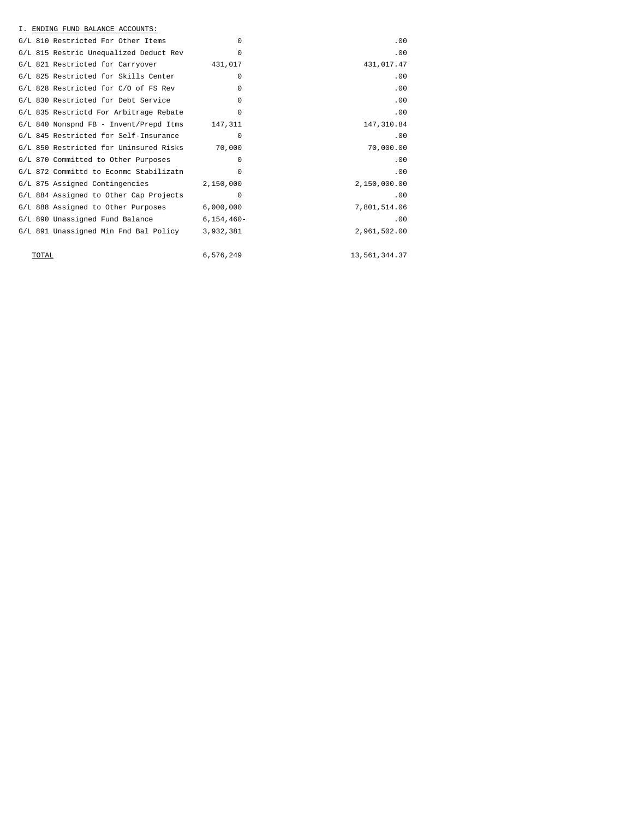| I. ENDING FUND BALANCE ACCOUNTS:                |            |               |
|-------------------------------------------------|------------|---------------|
| G/L 810 Restricted For Other Items              | $\Omega$   | .00           |
| G/L 815 Restric Unequalized Deduct Rev          | $\Omega$   | .00           |
| G/L 821 Restricted for Carryover                | 431,017    | 431,017.47    |
| G/L 825 Restricted for Skills Center            | $\Omega$   | .00           |
| G/L 828 Restricted for C/O of FS Rev            | $\Omega$   | .00           |
| G/L 830 Restricted for Debt Service             | $\Omega$   | .00           |
| G/L 835 Restrictd For Arbitrage Rebate          | $\Omega$   | .00           |
| G/L 840 Nonspnd FB - Invent/Prepd Itms          | 147,311    | 147,310.84    |
| G/L 845 Restricted for Self-Insurance           | 0          | .00           |
| G/L 850 Restricted for Uninsured Risks 70,000   |            | 70,000.00     |
| G/L 870 Committed to Other Purposes             | $\Omega$   | .00           |
| G/L 872 Committd to Econmo Stabilizatn          | $\Omega$   | .00           |
| G/L 875 Assigned Contingencies                  | 2,150,000  | 2,150,000.00  |
| G/L 884 Assigned to Other Cap Projects          | $\Omega$   | .00           |
| G/L 888 Assigned to Other Purposes 6,000,000    |            | 7,801,514.06  |
| G/L 890 Unassigned Fund Balance                 | 6,154,460- | .00           |
| G/L 891 Unassigned Min Fnd Bal Policy 3,932,381 |            | 2,961,502.00  |
|                                                 |            |               |
| TOTAL                                           | 6,576,249  | 13,561,344.37 |
|                                                 |            |               |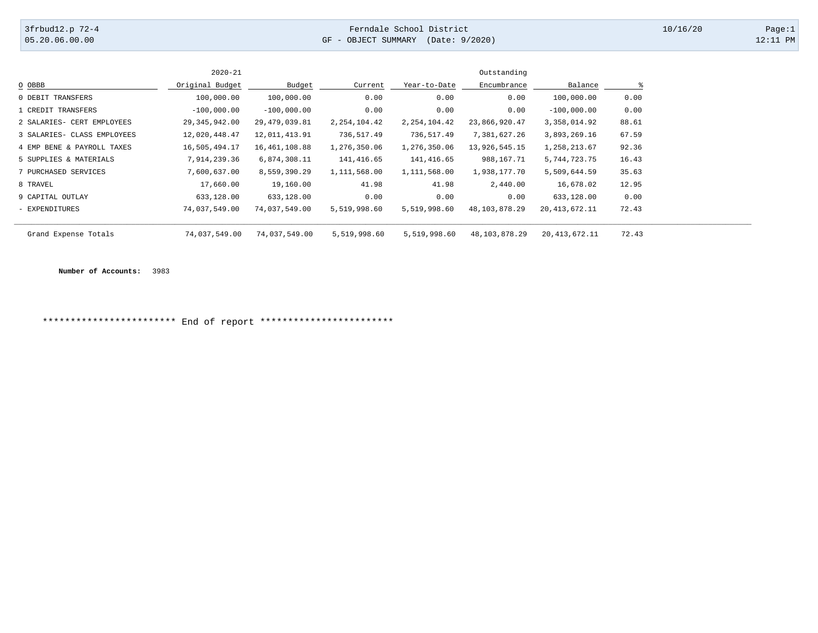## 3frbud12.p 72-4 Page:1 [05.20.06.00.00](https://05.20.06.00.00) GF - OBJECT SUMMARY (Date: 9/2020) 12:11 PM

|                             | $2020 - 21$     |                 |                |                | Outstanding   |                 |       |
|-----------------------------|-----------------|-----------------|----------------|----------------|---------------|-----------------|-------|
| O OBBB                      | Original Budget | Budget          | Current        | Year-to-Date   | Encumbrance   | Balance         |       |
| 0 DEBIT TRANSFERS           | 100,000.00      | 100,000.00      | 0.00           | 0.00           | 0.00          | 100,000.00      | 0.00  |
| 1 CREDIT TRANSFERS          | $-100,000.00$   | $-100,000.00$   | 0.00           | 0.00           | 0.00          | $-100,000.00$   | 0.00  |
| 2 SALARIES- CERT EMPLOYEES  | 29, 345, 942.00 | 29, 479, 039.81 | 2, 254, 104.42 | 2, 254, 104.42 | 23,866,920.47 | 3,358,014.92    | 88.61 |
| 3 SALARIES- CLASS EMPLOYEES | 12,020,448.47   | 12,011,413.91   | 736,517.49     | 736,517.49     | 7,381,627.26  | 3,893,269.16    | 67.59 |
| 4 EMP BENE & PAYROLL TAXES  | 16,505,494.17   | 16, 461, 108.88 | 1,276,350.06   | 1,276,350.06   | 13,926,545.15 | 1,258,213.67    | 92.36 |
| 5 SUPPLIES & MATERIALS      | 7,914,239.36    | 6,874,308.11    | 141,416.65     | 141,416.65     | 988,167.71    | 5,744,723.75    | 16.43 |
| 7 PURCHASED SERVICES        | 7,600,637.00    | 8,559,390.29    | 1,111,568.00   | 1,111,568.00   | 1,938,177.70  | 5,509,644.59    | 35.63 |
| 8 TRAVEL                    | 17,660.00       | 19,160.00       | 41.98          | 41.98          | 2,440.00      | 16,678.02       | 12.95 |
| 9 CAPITAL OUTLAY            | 633,128.00      | 633,128.00      | 0.00           | 0.00           | 0.00          | 633,128.00      | 0.00  |
| - EXPENDITURES              | 74,037,549.00   | 74,037,549.00   | 5,519,998.60   | 5,519,998.60   | 48,103,878.29 | 20, 413, 672.11 | 72.43 |
| Grand Expense Totals        | 74,037,549.00   | 74,037,549.00   | 5,519,998.60   | 5,519,998.60   | 48,103,878.29 | 20, 413, 672.11 | 72.43 |

**Number of Accounts:** 3983

\*\*\*\*\*\*\*\*\*\*\*\*\*\*\*\*\*\*\*\*\*\*\*\* End of report \*\*\*\*\*\*\*\*\*\*\*\*\*\*\*\*\*\*\*\*\*\*\*\*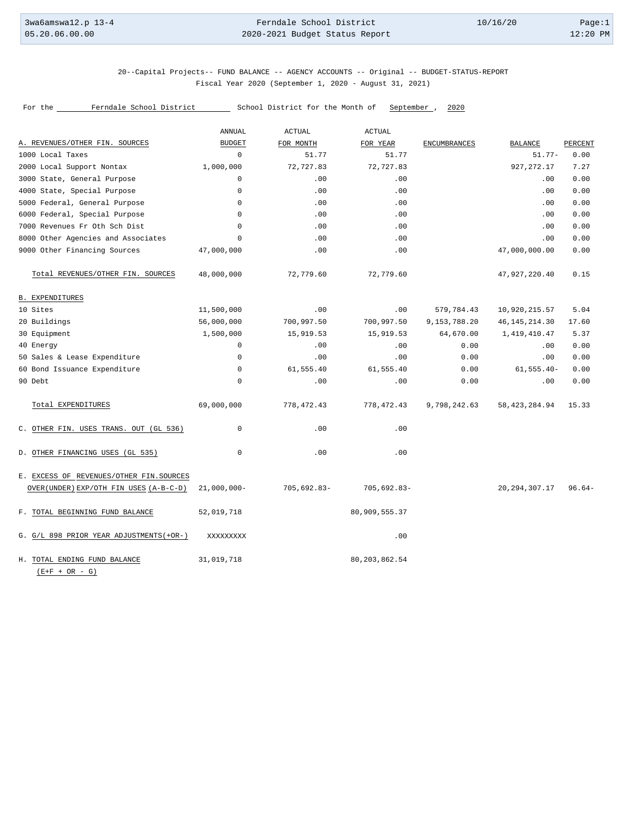### 20--Capital Projects-- FUND BALANCE -- AGENCY ACCOUNTS -- Original -- BUDGET-STATUS-REPORT Fiscal Year 2020 (September 1, 2020 - August 31, 2021)

|                                                  | ANNUAL         | <b>ACTUAL</b>  | <b>ACTUAL</b>   |              |                  |          |
|--------------------------------------------------|----------------|----------------|-----------------|--------------|------------------|----------|
| A. REVENUES/OTHER FIN. SOURCES                   | <b>BUDGET</b>  | FOR MONTH      | FOR YEAR        | ENCUMBRANCES | <b>BALANCE</b>   | PERCENT  |
| 1000 Local Taxes                                 | $\Omega$       | 51.77          | 51.77           |              | $51.77-$         | 0.00     |
| 2000 Local Support Nontax                        | 1,000,000      | 72,727.83      | 72,727.83       |              | 927, 272.17      | 7.27     |
| 3000 State, General Purpose                      | 0              | .00            | .00             |              | .00.             | 0.00     |
| 4000 State, Special Purpose                      | $\Omega$       | .00            | .00             |              | .00              | 0.00     |
| 5000 Federal, General Purpose                    | $\Omega$       | .00            | .00             |              | .00              | 0.00     |
| 6000 Federal, Special Purpose                    | $\mathbf 0$    | .00            | .00             |              | .00              | 0.00     |
| 7000 Revenues Fr Oth Sch Dist                    | $\mathbf 0$    | .00            | .00             |              | .00              | 0.00     |
| 8000 Other Agencies and Associates               | $\Omega$       | .00            | .00             |              | .00.             | 0.00     |
| 9000 Other Financing Sources                     | 47,000,000     | .00            | .00             |              | 47,000,000.00    | 0.00     |
| Total REVENUES/OTHER FIN. SOURCES                | 48,000,000     | 72,779.60      | 72,779.60       |              | 47, 927, 220.40  | 0.15     |
| <b>B. EXPENDITURES</b>                           |                |                |                 |              |                  |          |
| 10 Sites                                         | 11,500,000     | .00            | .00             | 579,784.43   | 10,920,215.57    | 5.04     |
| 20 Buildings                                     | 56,000,000     | 700,997.50     | 700,997.50      | 9,153,788.20 | 46, 145, 214.30  | 17.60    |
| 30 Equipment                                     | 1,500,000      | 15,919.53      | 15,919.53       | 64,670.00    | 1,419,410.47     | 5.37     |
| 40 Energy                                        | $\mathbf 0$    | .00            | .00             | 0.00         | .00              | 0.00     |
| 50 Sales & Lease Expenditure                     | $\mathbf 0$    | .00            | .00             | 0.00         | .00              | 0.00     |
| 60 Bond Issuance Expenditure                     | $\mathbf 0$    | 61,555.40      | 61,555.40       | 0.00         | $61, 555.40 -$   | 0.00     |
| 90 Debt                                          | $\mathbf 0$    | .00            | .00             | 0.00         | .00              | 0.00     |
| Total EXPENDITURES                               | 69,000,000     | 778, 472.43    | 778,472.43      | 9,798,242.63 | 58, 423, 284.94  | 15.33    |
| C. OTHER FIN. USES TRANS. OUT (GL 536)           | 0              | .00            | .00             |              |                  |          |
| D. OTHER FINANCING USES (GL 535)                 | $\mathbf 0$    | .00            | .00             |              |                  |          |
| E. EXCESS OF REVENUES/OTHER FIN. SOURCES         |                |                |                 |              |                  |          |
| OVER (UNDER) EXP/OTH FIN USES (A-B-C-D)          | $21,000,000 -$ | $705,692.83 -$ | $705,692.83-$   |              | 20, 294, 307. 17 | $96.64-$ |
| F. TOTAL BEGINNING FUND BALANCE                  | 52,019,718     |                | 80,909,555.37   |              |                  |          |
| G. G/L 898 PRIOR YEAR ADJUSTMENTS (+OR-)         | XXXXXXXXX      |                | .00             |              |                  |          |
| H. TOTAL ENDING FUND BALANCE<br>$(E+F + OR - G)$ | 31,019,718     |                | 80, 203, 862.54 |              |                  |          |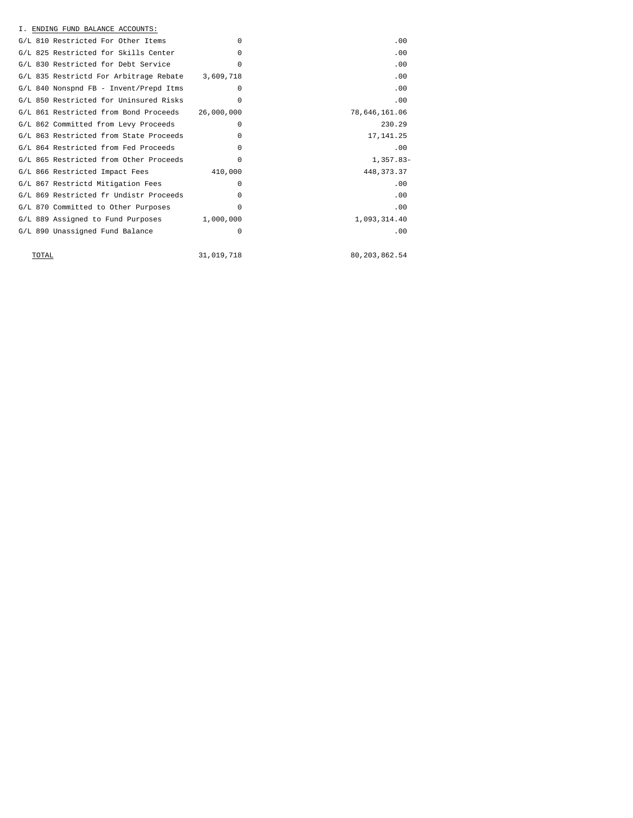| $\Omega$   | .00                                                                                               |
|------------|---------------------------------------------------------------------------------------------------|
| $\Omega$   | .00                                                                                               |
| $\Omega$   | .00                                                                                               |
|            | .00                                                                                               |
| $\Omega$   | .00                                                                                               |
| $\Omega$   | .00                                                                                               |
| 26,000,000 | 78,646,161.06                                                                                     |
| $\Omega$   | 230.29                                                                                            |
| $\Omega$   | 17, 141.25                                                                                        |
| $\Omega$   | .00                                                                                               |
| $\Omega$   | $1,357.83-$                                                                                       |
| 410,000    | 448, 373. 37                                                                                      |
| $\Omega$   | .00                                                                                               |
| $\Omega$   | .00                                                                                               |
| $\Omega$   | .00                                                                                               |
|            | 1,093,314.40                                                                                      |
| 0          | .00                                                                                               |
|            |                                                                                                   |
| 31,019,718 | 80, 203, 862.54                                                                                   |
|            | G/L 835 Restrictd For Arbitrage Rebate 3,609,718<br>$G/L$ 889 Assigned to Fund Purposes 1,000,000 |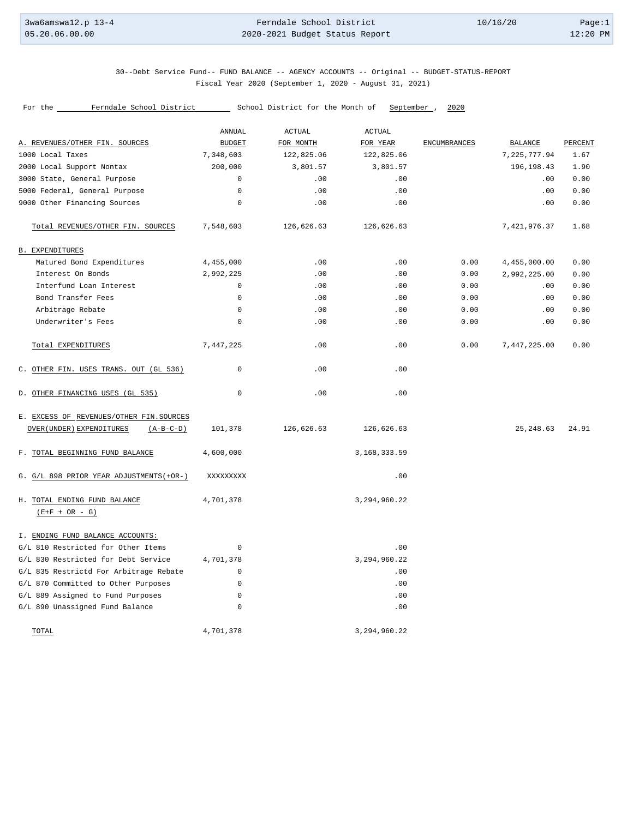### 30--Debt Service Fund-- FUND BALANCE -- AGENCY ACCOUNTS -- Original -- BUDGET-STATUS-REPORT Fiscal Year 2020 (September 1, 2020 - August 31, 2021)

|                                                                                      | ANNUAL        | <b>ACTUAL</b> | <b>ACTUAL</b>   |                     |                |         |
|--------------------------------------------------------------------------------------|---------------|---------------|-----------------|---------------------|----------------|---------|
| A. REVENUES/OTHER FIN. SOURCES                                                       | <b>BUDGET</b> | FOR MONTH     | FOR YEAR        | <b>ENCUMBRANCES</b> | <b>BALANCE</b> | PERCENT |
| 1000 Local Taxes                                                                     | 7,348,603     | 122,825.06    | 122,825.06      |                     | 7, 225, 777.94 | 1.67    |
| 2000 Local Support Nontax                                                            | 200,000       | 3,801.57      | 3,801.57        |                     | 196,198.43     | 1.90    |
| 3000 State, General Purpose                                                          | $\mathbf 0$   | .00           | .00             |                     | .00            | 0.00    |
| 5000 Federal, General Purpose                                                        | $\mathbf 0$   | .00           | .00             |                     | .00            | 0.00    |
| 9000 Other Financing Sources                                                         | $\mathbf 0$   | .00           | .00             |                     | .00            | 0.00    |
| Total REVENUES/OTHER FIN. SOURCES                                                    | 7,548,603     | 126,626.63    | 126,626.63      |                     | 7,421,976.37   | 1.68    |
| <b>B. EXPENDITURES</b>                                                               |               |               |                 |                     |                |         |
| Matured Bond Expenditures                                                            | 4,455,000     | .00           | .00             | 0.00                | 4,455,000.00   | 0.00    |
| Interest On Bonds                                                                    | 2,992,225     | .00           | .00             | 0.00                | 2,992,225.00   | 0.00    |
| Interfund Loan Interest                                                              | $\mathsf 0$   | .00           | .00             | 0.00                | .00            | 0.00    |
| Bond Transfer Fees                                                                   | $\mathbf 0$   | .00           | .00             | 0.00                | .00            | 0.00    |
| Arbitrage Rebate                                                                     | $\mathsf 0$   | .00           | .00             | 0.00                | .00            | 0.00    |
| Underwriter's Fees                                                                   | $\mathsf 0$   | .00           | .00             | 0.00                | .00            | 0.00    |
| Total EXPENDITURES                                                                   | 7,447,225     | .00           | .00             | 0.00                | 7,447,225.00   | 0.00    |
| C. OTHER FIN. USES TRANS. OUT (GL 536)                                               | $\mathbf 0$   | .00           | .00             |                     |                |         |
| D. OTHER FINANCING USES (GL 535)                                                     | $\mathbf 0$   | .00           | .00             |                     |                |         |
| E. EXCESS OF REVENUES/OTHER FIN. SOURCES<br>OVER (UNDER) EXPENDITURES<br>$(A-B-C-D)$ | 101,378       | 126,626.63    | 126,626.63      |                     | 25, 248.63     | 24.91   |
| F. TOTAL BEGINNING FUND BALANCE                                                      | 4,600,000     |               | 3, 168, 333.59  |                     |                |         |
| G. G/L 898 PRIOR YEAR ADJUSTMENTS (+OR-)                                             | XXXXXXXXX     |               | .00             |                     |                |         |
| H. TOTAL ENDING FUND BALANCE<br>$(E+F + OR - G)$                                     | 4,701,378     |               | 3, 294, 960. 22 |                     |                |         |
| I. ENDING FUND BALANCE ACCOUNTS:                                                     |               |               |                 |                     |                |         |
| G/L 810 Restricted for Other Items                                                   | $\mathbf 0$   |               | .00             |                     |                |         |
| G/L 830 Restricted for Debt Service                                                  | 4,701,378     |               | 3, 294, 960.22  |                     |                |         |
| G/L 835 Restrictd For Arbitrage Rebate                                               | $\mathsf 0$   |               | .00             |                     |                |         |
| G/L 870 Committed to Other Purposes                                                  | 0             |               | .00             |                     |                |         |
| G/L 889 Assigned to Fund Purposes                                                    | $\mathsf 0$   |               | .00             |                     |                |         |
| G/L 890 Unassigned Fund Balance                                                      | $\mathsf 0$   |               | .00             |                     |                |         |
| TOTAL                                                                                | 4,701,378     |               | 3, 294, 960.22  |                     |                |         |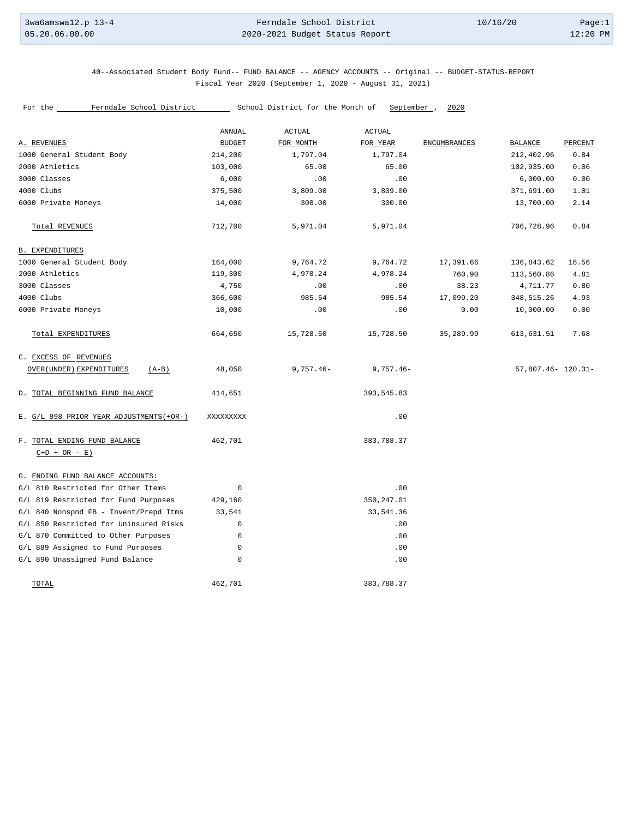40--Associated Student Body Fund-- FUND BALANCE -- AGENCY ACCOUNTS -- Original -- BUDGET-STATUS-REPORT Fiscal Year 2020 (September 1, 2020 - August 31, 2021)

|                                                | ANNUAL        | <b>ACTUAL</b> | <b>ACTUAL</b> |                     |                        |         |
|------------------------------------------------|---------------|---------------|---------------|---------------------|------------------------|---------|
| A. REVENUES                                    | <b>BUDGET</b> | FOR MONTH     | FOR YEAR      | <b>ENCUMBRANCES</b> | BALANCE                | PERCENT |
| 1000 General Student Body                      | 214,200       | 1,797.04      | 1,797.04      |                     | 212,402.96             | 0.84    |
| 2000 Athletics                                 | 103,000       | 65.00         | 65.00         |                     | 102,935.00             | 0.06    |
| 3000 Classes                                   | 6,000         | .00           | .00           |                     | 6,000.00               | 0.00    |
| 4000 Clubs                                     | 375,500       | 3,809.00      | 3,809.00      |                     | 371,691.00             | 1.01    |
| 6000 Private Moneys                            | 14,000        | 300.00        | 300.00        |                     | 13,700.00              | 2.14    |
| Total REVENUES                                 | 712,700       | 5,971.04      | 5,971.04      |                     | 706,728.96             | 0.84    |
| <b>B. EXPENDITURES</b>                         |               |               |               |                     |                        |         |
| 1000 General Student Body                      | 164,000       | 9,764.72      | 9,764.72      | 17,391.66           | 136,843.62             | 16.56   |
| 2000 Athletics                                 | 119,300       | 4,978.24      | 4,978.24      | 760.90              | 113,560.86             | 4.81    |
| 3000 Classes                                   | 4,750         | .00           | .00           | 38.23               | 4,711.77               | 0.80    |
| 4000 Clubs                                     | 366,600       | 985.54        | 985.54        | 17,099.20           | 348,515.26             | 4.93    |
| 6000 Private Moneys                            | 10,000        | .00           | .00           | 0.00                | 10,000.00              | 0.00    |
| Total EXPENDITURES                             | 664,650       | 15,728.50     | 15,728.50     | 35,289.99           | 613,631.51             | 7.68    |
| C. EXCESS OF REVENUES                          |               |               |               |                     |                        |         |
| OVER (UNDER) EXPENDITURES<br>$(A-B)$           | 48,050        | $9,757.46 -$  | $9,757.46 -$  |                     | $57,807.46 - 120.31 -$ |         |
| D. TOTAL BEGINNING FUND BALANCE                | 414,651       |               | 393,545.83    |                     |                        |         |
| E. G/L 898 PRIOR YEAR ADJUSTMENTS (+OR-)       | XXXXXXXXX     |               | .00           |                     |                        |         |
| F. TOTAL ENDING FUND BALANCE<br>$C+D + OR - E$ | 462,701       |               | 383,788.37    |                     |                        |         |
| G. ENDING FUND BALANCE ACCOUNTS:               |               |               |               |                     |                        |         |
| G/L 810 Restricted for Other Items             | $\mathbf 0$   |               | .00           |                     |                        |         |
| G/L 819 Restricted for Fund Purposes           | 429,160       |               | 350,247.01    |                     |                        |         |
| G/L 840 Nonspnd FB - Invent/Prepd Itms         | 33,541        |               | 33,541.36     |                     |                        |         |
| G/L 850 Restricted for Uninsured Risks         | 0             |               | .00           |                     |                        |         |
| G/L 870 Committed to Other Purposes            | 0             |               | .00           |                     |                        |         |
| G/L 889 Assigned to Fund Purposes              | 0             |               | .00           |                     |                        |         |
| G/L 890 Unassigned Fund Balance                | $\mathsf 0$   |               | .00           |                     |                        |         |
| TOTAL                                          | 462,701       |               | 383,788.37    |                     |                        |         |